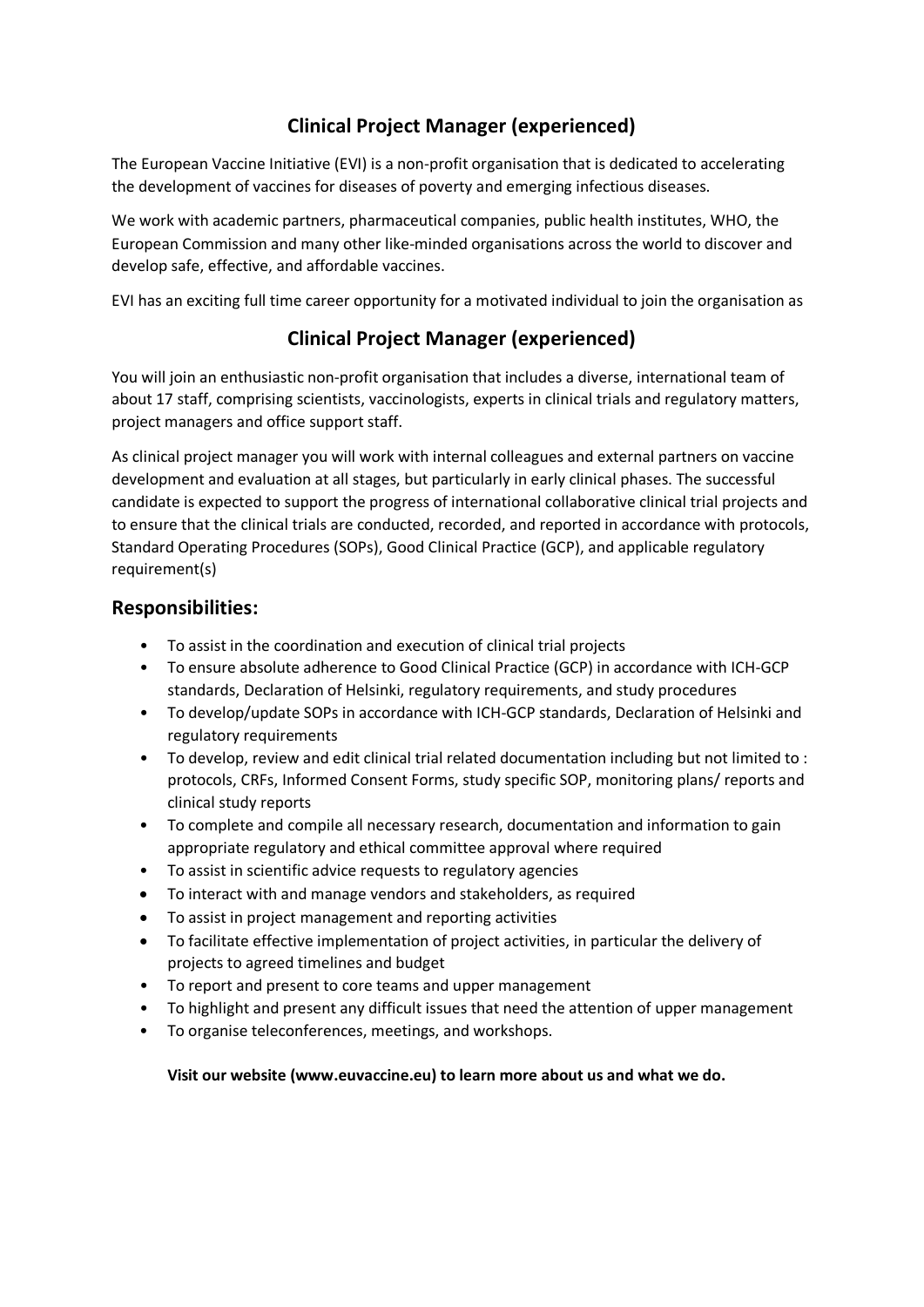# **Clinical Project Manager (experienced)**

The European Vaccine Initiative (EVI) is a non-profit organisation that is dedicated to accelerating the development of vaccines for diseases of poverty and emerging infectious diseases.

We work with academic partners, pharmaceutical companies, public health institutes, WHO, the European Commission and many other like-minded organisations across the world to discover and develop safe, effective, and affordable vaccines.

EVI has an exciting full time career opportunity for a motivated individual to join the organisation as

## **Clinical Project Manager (experienced)**

You will join an enthusiastic non-profit organisation that includes a diverse, international team of about 17 staff, comprising scientists, vaccinologists, experts in clinical trials and regulatory matters, project managers and office support staff.

As clinical project manager you will work with internal colleagues and external partners on vaccine development and evaluation at all stages, but particularly in early clinical phases. The successful candidate is expected to support the progress of international collaborative clinical trial projects and to ensure that the clinical trials are conducted, recorded, and reported in accordance with protocols, Standard Operating Procedures (SOPs), Good Clinical Practice (GCP), and applicable regulatory requirement(s)

### **Responsibilities:**

- To assist in the coordination and execution of clinical trial projects
- To ensure absolute adherence to Good Clinical Practice (GCP) in accordance with ICH-GCP standards, Declaration of Helsinki, regulatory requirements, and study procedures
- To develop/update SOPs in accordance with ICH-GCP standards, Declaration of Helsinki and regulatory requirements
- To develop, review and edit clinical trial related documentation including but not limited to : protocols, CRFs, Informed Consent Forms, study specific SOP, monitoring plans/ reports and clinical study reports
- To complete and compile all necessary research, documentation and information to gain appropriate regulatory and ethical committee approval where required
- To assist in scientific advice requests to regulatory agencies
- To interact with and manage vendors and stakeholders, as required
- To assist in project management and reporting activities
- To facilitate effective implementation of project activities, in particular the delivery of projects to agreed timelines and budget
- To report and present to core teams and upper management
- To highlight and present any difficult issues that need the attention of upper management
- To organise teleconferences, meetings, and workshops.

#### **Visit our website (www.euvaccine.eu) to learn more about us and what we do.**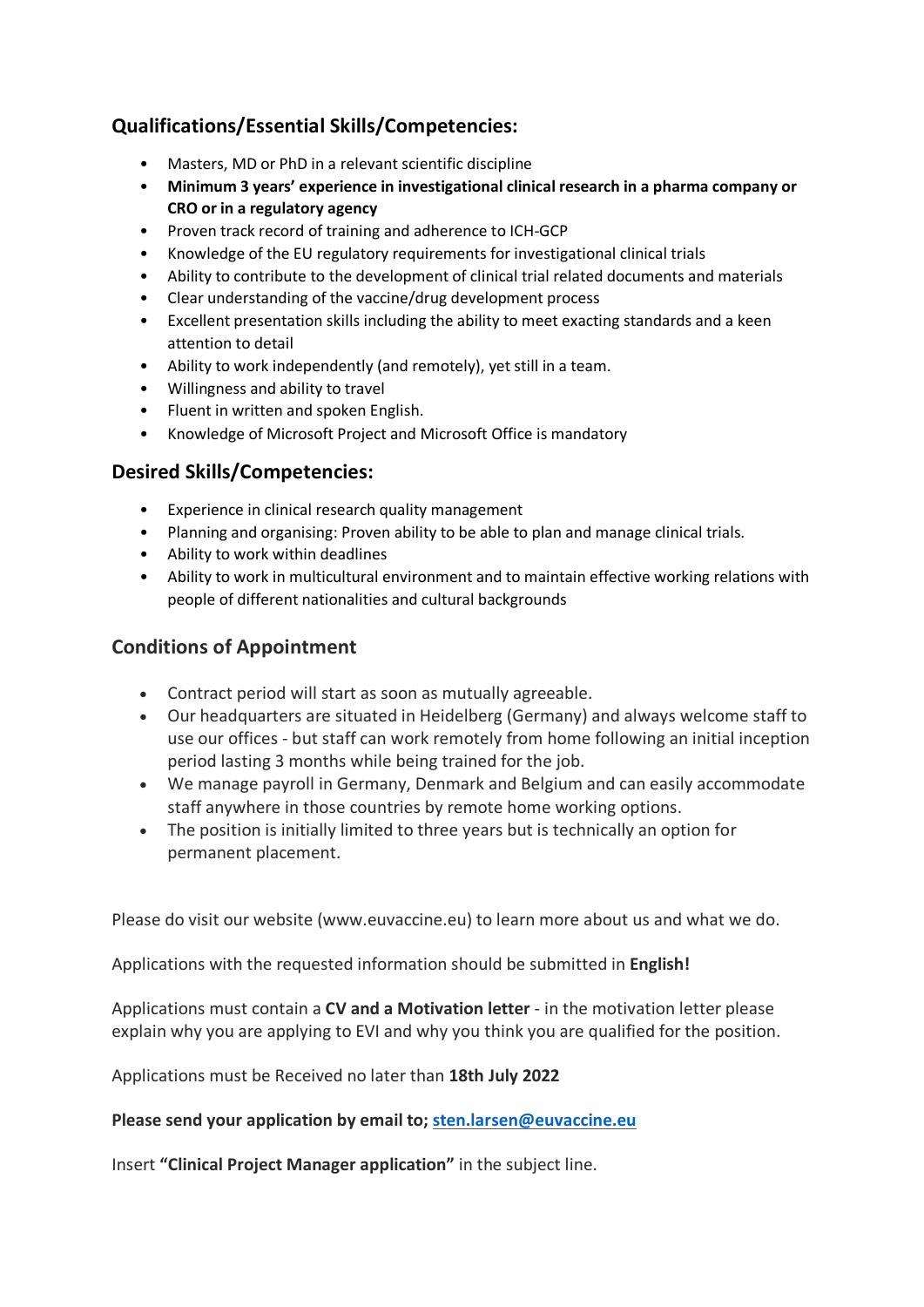## **Qualifications/Essential Skills/Competencies:**

- Masters, MD or PhD in a relevant scientific discipline
- **Minimum 3 years' experience in investigational clinical research in a pharma company or CRO or in a regulatory agency**
- Proven track record of training and adherence to ICH-GCP
- Knowledge of the EU regulatory requirements for investigational clinical trials
- Ability to contribute to the development of clinical trial related documents and materials
- Clear understanding of the vaccine/drug development process
- Excellent presentation skills including the ability to meet exacting standards and a keen attention to detail
- Ability to work independently (and remotely), yet still in a team.
- Willingness and ability to travel
- Fluent in written and spoken English.
- Knowledge of Microsoft Project and Microsoft Office is mandatory

### **Desired Skills/Competencies:**

- Experience in clinical research quality management
- Planning and organising: Proven ability to be able to plan and manage clinical trials.
- Ability to work within deadlines
- Ability to work in multicultural environment and to maintain effective working relations with people of different nationalities and cultural backgrounds

## **Conditions of Appointment**

- Contract period will start as soon as mutually agreeable.
- Our headquarters are situated in Heidelberg (Germany) and always welcome staff to use our offices - but staff can work remotely from home following an initial inception period lasting 3 months while being trained for the job.
- We manage payroll in Germany, Denmark and Belgium and can easily accommodate staff anywhere in those countries by remote home working options.
- The position is initially limited to three years but is technically an option for permanent placement.

Please do visit our website (www.euvaccine.eu) to learn more about us and what we do.

Applications with the requested information should be submitted in **English!**

Applications must contain a **CV and a Motivation letter** - in the motivation letter please explain why you are applying to EVI and why you think you are qualified for the position.

Applications must be Received no later than **18th July 2022**

**Please send your application by email to; [sten.larsen@euvaccine.eu](mailto:sten.larsen@euvaccine.eu)**

Insert **"Clinical Project Manager application"** in the subject line.